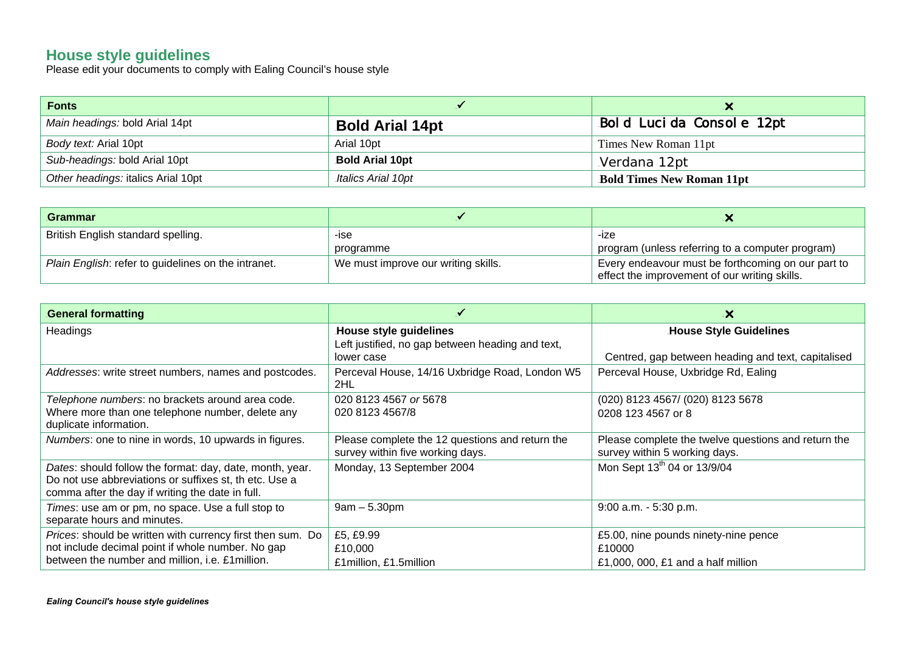## **House style guidelines**

Please edit your documents to comply with Ealing Council's house style

| Fonts                              |                        |                                  |
|------------------------------------|------------------------|----------------------------------|
| Main headings: bold Arial 14pt     | <b>Bold Arial 14pt</b> | Bold Lucida Console 12pt         |
| Body text: Arial 10pt              | Arial 10pt             | Times New Roman 11pt             |
| Sub-headings: bold Arial 10pt      | <b>Bold Arial 10pt</b> | Verdana 12pt                     |
| Other headings: italics Arial 10pt | Italics Arial 10pt     | <b>Bold Times New Roman 11pt</b> |

| Grammar                                             |                                     |                                                                                                     |
|-----------------------------------------------------|-------------------------------------|-----------------------------------------------------------------------------------------------------|
| British English standard spelling.                  | -ise                                | -ize                                                                                                |
|                                                     | programme                           | program (unless referring to a computer program)                                                    |
| Plain English: refer to guidelines on the intranet. | We must improve our writing skills. | Every endeavour must be forthcoming on our part to<br>effect the improvement of our writing skills. |

| <b>General formatting</b>                                                                                                                                              |                                                                                     | $\boldsymbol{\mathsf{x}}$                                                            |
|------------------------------------------------------------------------------------------------------------------------------------------------------------------------|-------------------------------------------------------------------------------------|--------------------------------------------------------------------------------------|
| Headings                                                                                                                                                               | House style guidelines<br>Left justified, no gap between heading and text,          | <b>House Style Guidelines</b><br>Centred, gap between heading and text, capitalised  |
| Addresses: write street numbers, names and postcodes.                                                                                                                  | lower case<br>Perceval House, 14/16 Uxbridge Road, London W5<br>2HL                 | Perceval House, Uxbridge Rd, Ealing                                                  |
| Telephone numbers: no brackets around area code.<br>Where more than one telephone number, delete any<br>duplicate information.                                         | 020 8123 4567 or 5678<br>020 8123 4567/8                                            | (020) 8123 4567/ (020) 8123 5678<br>0208 123 4567 or 8                               |
| Numbers: one to nine in words, 10 upwards in figures.                                                                                                                  | Please complete the 12 questions and return the<br>survey within five working days. | Please complete the twelve questions and return the<br>survey within 5 working days. |
| Dates: should follow the format: day, date, month, year.<br>Do not use abbreviations or suffixes st, th etc. Use a<br>comma after the day if writing the date in full. | Monday, 13 September 2004                                                           | Mon Sept 13 <sup>th</sup> 04 or 13/9/04                                              |
| Times: use am or pm, no space. Use a full stop to<br>separate hours and minutes.                                                                                       | $9am - 5.30pm$                                                                      | $9:00$ a.m. $-5:30$ p.m.                                                             |
| Prices: should be written with currency first then sum. Do<br>not include decimal point if whole number. No gap<br>between the number and million, i.e. £1 million.    | £5, £9.99<br>£10,000<br>£1 million, £1.5 million                                    | £5.00, nine pounds ninety-nine pence<br>£10000<br>£1,000, 000, £1 and a half million |